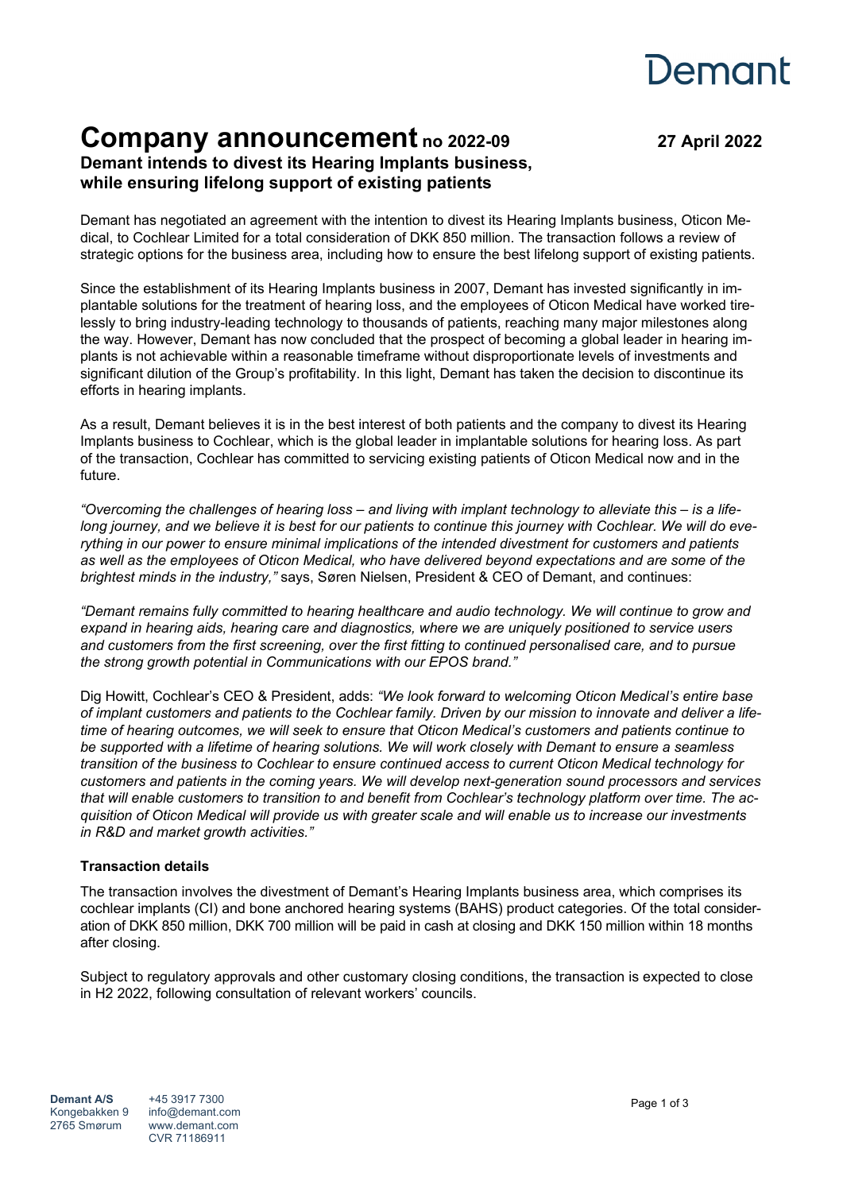# Demant

# **Company announcement no 2022-09 27 April 2022 Demant intends to divest its Hearing Implants business, while ensuring lifelong support of existing patients**

Demant has negotiated an agreement with the intention to divest its Hearing Implants business, Oticon Medical, to Cochlear Limited for a total consideration of DKK 850 million. The transaction follows a review of strategic options for the business area, including how to ensure the best lifelong support of existing patients.

Since the establishment of its Hearing Implants business in 2007, Demant has invested significantly in implantable solutions for the treatment of hearing loss, and the employees of Oticon Medical have worked tirelessly to bring industry-leading technology to thousands of patients, reaching many major milestones along the way. However, Demant has now concluded that the prospect of becoming a global leader in hearing implants is not achievable within a reasonable timeframe without disproportionate levels of investments and significant dilution of the Group's profitability. In this light, Demant has taken the decision to discontinue its efforts in hearing implants.

As a result, Demant believes it is in the best interest of both patients and the company to divest its Hearing Implants business to Cochlear, which is the global leader in implantable solutions for hearing loss. As part of the transaction, Cochlear has committed to servicing existing patients of Oticon Medical now and in the future.

*"Overcoming the challenges of hearing loss – and living with implant technology to alleviate this – is a lifelong journey, and we believe it is best for our patients to continue this journey with Cochlear. We will do everything in our power to ensure minimal implications of the intended divestment for customers and patients as well as the employees of Oticon Medical, who have delivered beyond expectations and are some of the brightest minds in the industry,"* says, Søren Nielsen, President & CEO of Demant, and continues:

*"Demant remains fully committed to hearing healthcare and audio technology. We will continue to grow and expand in hearing aids, hearing care and diagnostics, where we are uniquely positioned to service users and customers from the first screening, over the first fitting to continued personalised care, and to pursue the strong growth potential in Communications with our EPOS brand."* 

Dig Howitt, Cochlear's CEO & President, adds: *"We look forward to welcoming Oticon Medical's entire base of implant customers and patients to the Cochlear family. Driven by our mission to innovate and deliver a lifetime of hearing outcomes, we will seek to ensure that Oticon Medical's customers and patients continue to be supported with a lifetime of hearing solutions. We will work closely with Demant to ensure a seamless transition of the business to Cochlear to ensure continued access to current Oticon Medical technology for customers and patients in the coming years. We will develop next-generation sound processors and services that will enable customers to transition to and benefit from Cochlear's technology platform over time. The acquisition of Oticon Medical will provide us with greater scale and will enable us to increase our investments in R&D and market growth activities."* 

## **Transaction details**

The transaction involves the divestment of Demant's Hearing Implants business area, which comprises its cochlear implants (CI) and bone anchored hearing systems (BAHS) product categories. Of the total consideration of DKK 850 million, DKK 700 million will be paid in cash at closing and DKK 150 million within 18 months after closing.

Subject to regulatory approvals and other customary closing conditions, the transaction is expected to close in H2 2022, following consultation of relevant workers' councils.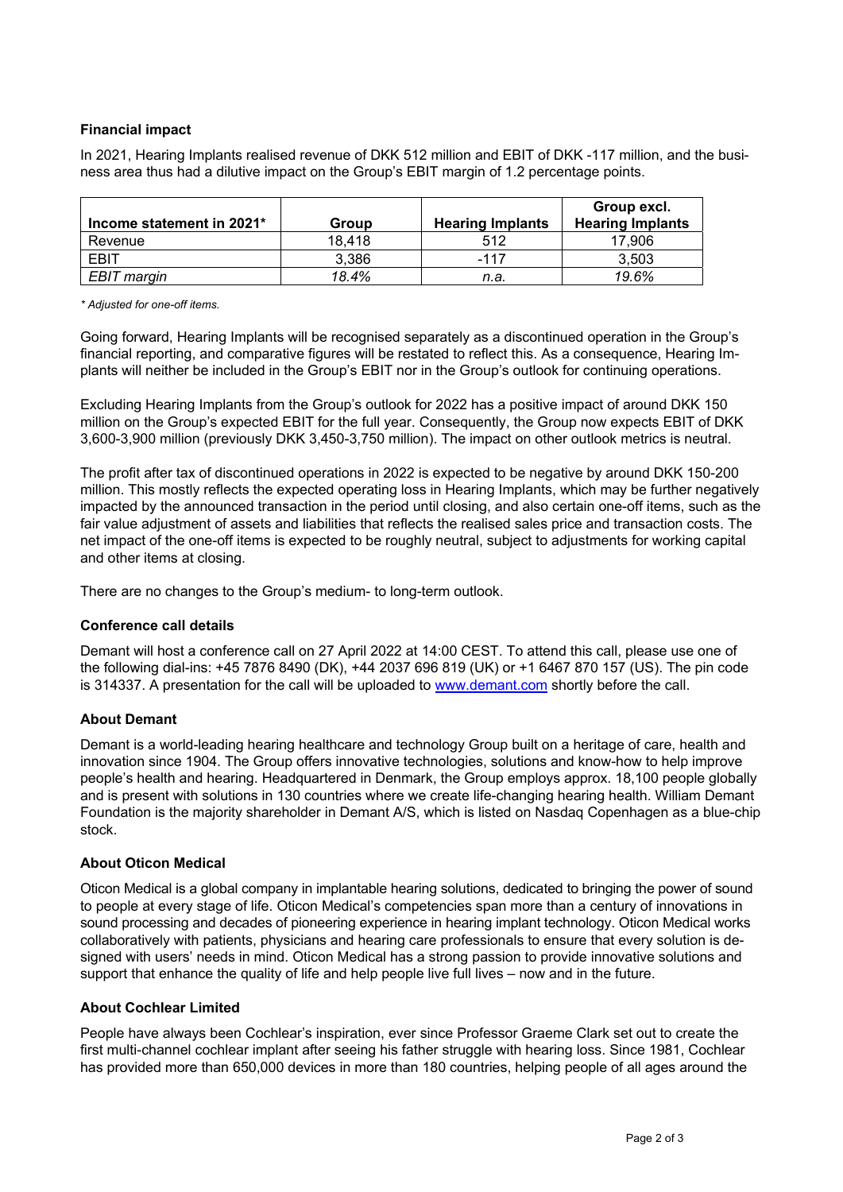## **Financial impact**

In 2021, Hearing Implants realised revenue of DKK 512 million and EBIT of DKK -117 million, and the business area thus had a dilutive impact on the Group's EBIT margin of 1.2 percentage points.

| Income statement in 2021* | Group  | <b>Hearing Implants</b> | Group excl.<br><b>Hearing Implants</b> |
|---------------------------|--------|-------------------------|----------------------------------------|
| Revenue                   | 18.418 | 512                     | 17.906                                 |
| EBIT                      | 3,386  | -117                    | 3.503                                  |
| EBIT margin               | 18.4%  | n.a.                    | 19.6%                                  |

*\* Adjusted for one-off items.* 

Going forward, Hearing Implants will be recognised separately as a discontinued operation in the Group's financial reporting, and comparative figures will be restated to reflect this. As a consequence, Hearing Implants will neither be included in the Group's EBIT nor in the Group's outlook for continuing operations.

Excluding Hearing Implants from the Group's outlook for 2022 has a positive impact of around DKK 150 million on the Group's expected EBIT for the full year. Consequently, the Group now expects EBIT of DKK 3,600-3,900 million (previously DKK 3,450-3,750 million). The impact on other outlook metrics is neutral.

The profit after tax of discontinued operations in 2022 is expected to be negative by around DKK 150-200 million. This mostly reflects the expected operating loss in Hearing Implants, which may be further negatively impacted by the announced transaction in the period until closing, and also certain one-off items, such as the fair value adjustment of assets and liabilities that reflects the realised sales price and transaction costs. The net impact of the one-off items is expected to be roughly neutral, subject to adjustments for working capital and other items at closing.

There are no changes to the Group's medium- to long-term outlook.

## **Conference call details**

Demant will host a conference call on 27 April 2022 at 14:00 CEST. To attend this call, please use one of the following dial-ins: +45 7876 8490 (DK), +44 2037 696 819 (UK) or +1 6467 870 157 (US). The pin code is 314337. A presentation for the call will be uploaded to www.demant.com shortly before the call.

## **About Demant**

Demant is a world-leading hearing healthcare and technology Group built on a heritage of care, health and innovation since 1904. The Group offers innovative technologies, solutions and know-how to help improve people's health and hearing. Headquartered in Denmark, the Group employs approx. 18,100 people globally and is present with solutions in 130 countries where we create life-changing hearing health. William Demant Foundation is the majority shareholder in Demant A/S, which is listed on Nasdaq Copenhagen as a blue-chip stock.

#### **About Oticon Medical**

Oticon Medical is a global company in implantable hearing solutions, dedicated to bringing the power of sound to people at every stage of life. Oticon Medical's competencies span more than a century of innovations in sound processing and decades of pioneering experience in hearing implant technology. Oticon Medical works collaboratively with patients, physicians and hearing care professionals to ensure that every solution is designed with users' needs in mind. Oticon Medical has a strong passion to provide innovative solutions and support that enhance the quality of life and help people live full lives – now and in the future.

#### **About Cochlear Limited**

People have always been Cochlear's inspiration, ever since Professor Graeme Clark set out to create the first multi-channel cochlear implant after seeing his father struggle with hearing loss. Since 1981, Cochlear has provided more than 650,000 devices in more than 180 countries, helping people of all ages around the